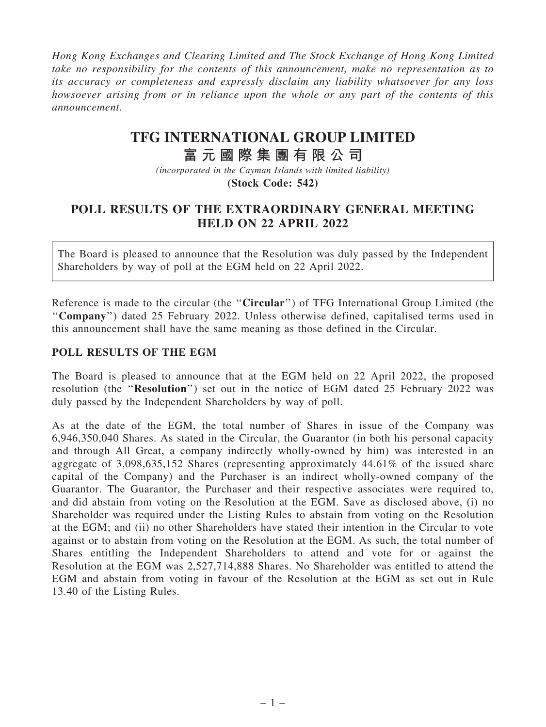*Hong Kong Exchanges and Clearing Limited and The Stock Exchange of Hong Kong Limited take no responsibility for the contents of this announcement, make no representation as to its accuracy or completeness and expressly disclaim any liability whatsoever for any loss howsoever arising from or in reliance upon the whole or any part of the contents of this announcement.*

## **TFG INTERNATIONAL GROUP LIMITED**

## **富 元 國 際 集 團 有 限 公 司**

*(incorporated in the Cayman Islands with limited liability)* **(Stock Code: 542)**

## POLL RESULTS OF THE EXTRAORDINARY GENERAL MEETING HELD ON 22 APRIL 2022

The Board is pleased to announce that the Resolution was duly passed by the Independent Shareholders by way of poll at the EGM held on 22 April 2022.

Reference is made to the circular (the "Circular") of TFG International Group Limited (the ''Company'') dated 25 February 2022. Unless otherwise defined, capitalised terms used in this announcement shall have the same meaning as those defined in the Circular.

## POLL RESULTS OF THE EGM

The Board is pleased to announce that at the EGM held on 22 April 2022, the proposed resolution (the ''Resolution'') set out in the notice of EGM dated 25 February 2022 was duly passed by the Independent Shareholders by way of poll.

As at the date of the EGM, the total number of Shares in issue of the Company was 6,946,350,040 Shares. As stated in the Circular, the Guarantor (in both his personal capacity and through All Great, a company indirectly wholly-owned by him) was interested in an aggregate of 3,098,635,152 Shares (representing approximately 44.61% of the issued share capital of the Company) and the Purchaser is an indirect wholly-owned company of the Guarantor. The Guarantor, the Purchaser and their respective associates were required to, and did abstain from voting on the Resolution at the EGM. Save as disclosed above, (i) no Shareholder was required under the Listing Rules to abstain from voting on the Resolution at the EGM; and (ii) no other Shareholders have stated their intention in the Circular to vote against or to abstain from voting on the Resolution at the EGM. As such, the total number of Shares entitling the Independent Shareholders to attend and vote for or against the Resolution at the EGM was 2,527,714,888 Shares. No Shareholder was entitled to attend the EGM and abstain from voting in favour of the Resolution at the EGM as set out in Rule 13.40 of the Listing Rules.